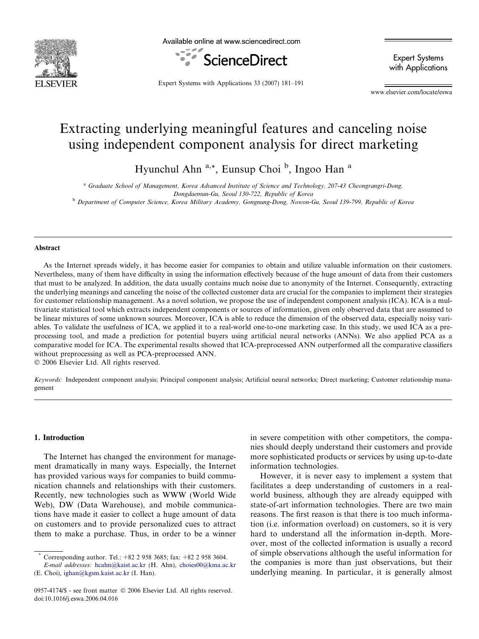

Available online at www.sciencedirect.com



Expert Systems with Applications

Expert Systems with Applications 33 (2007) 181–191

www.elsevier.com/locate/eswa

## Extracting underlying meaningful features and canceling noise using independent component analysis for direct marketing

Hyunchul Ahn <sup>a,\*</sup>, Eunsup Choi <sup>b</sup>, Ingoo Han <sup>a</sup>

a Graduate School of Management, Korea Advanced Institute of Science and Technology, 207-43 Cheongrangri-Dong,

Dongdaemun-Gu, Seoul 130-722, Republic of Korea

<sup>b</sup> Department of Computer Science, Korea Military Academy, Gongnung-Dong, Nowon-Gu, Seoul 139-799, Republic of Korea

### Abstract

As the Internet spreads widely, it has become easier for companies to obtain and utilize valuable information on their customers. Nevertheless, many of them have difficulty in using the information effectively because of the huge amount of data from their customers that must to be analyzed. In addition, the data usually contains much noise due to anonymity of the Internet. Consequently, extracting the underlying meanings and canceling the noise of the collected customer data are crucial for the companies to implement their strategies for customer relationship management. As a novel solution, we propose the use of independent component analysis (ICA). ICA is a multivariate statistical tool which extracts independent components or sources of information, given only observed data that are assumed to be linear mixtures of some unknown sources. Moreover, ICA is able to reduce the dimension of the observed data, especially noisy variables. To validate the usefulness of ICA, we applied it to a real-world one-to-one marketing case. In this study, we used ICA as a preprocessing tool, and made a prediction for potential buyers using artificial neural networks (ANNs). We also applied PCA as a comparative model for ICA. The experimental results showed that ICA-preprocessed ANN outperformed all the comparative classifiers without preprocessing as well as PCA-preprocessed ANN.

 $© 2006 Elsevier Ltd. All rights reserved.$ 

Keywords: Independent component analysis; Principal component analysis; Artificial neural networks; Direct marketing; Customer relationship management

### 1. Introduction

The Internet has changed the environment for management dramatically in many ways. Especially, the Internet has provided various ways for companies to build communication channels and relationships with their customers. Recently, new technologies such as WWW (World Wide Web), DW (Data Warehouse), and mobile communications have made it easier to collect a huge amount of data on customers and to provide personalized cues to attract them to make a purchase. Thus, in order to be a winner in severe competition with other competitors, the companies should deeply understand their customers and provide more sophisticated products or services by using up-to-date information technologies.

However, it is never easy to implement a system that facilitates a deep understanding of customers in a realworld business, although they are already equipped with state-of-art information technologies. There are two main reasons. The first reason is that there is too much information (i.e. information overload) on customers, so it is very hard to understand all the information in-depth. Moreover, most of the collected information is usually a record of simple observations although the useful information for the companies is more than just observations, but their underlying meaning. In particular, it is generally almost

Corresponding author. Tel.: +82 2 958 3685; fax: +82 2 958 3604. E-mail addresses: [hcahn@kaist.ac.kr](mailto:hcahn@kaist.ac.kr) (H. Ahn), [choies00@kma.ac.kr](mailto:choies00@kma.ac.kr)

<sup>(</sup>E. Choi), [ighan@kgsm.kaist.ac.kr](mailto:ighan@kgsm.kaist.ac.kr) (I. Han).

<sup>0957-4174/\$ -</sup> see front matter © 2006 Elsevier Ltd. All rights reserved. doi:10.1016/j.eswa.2006.04.016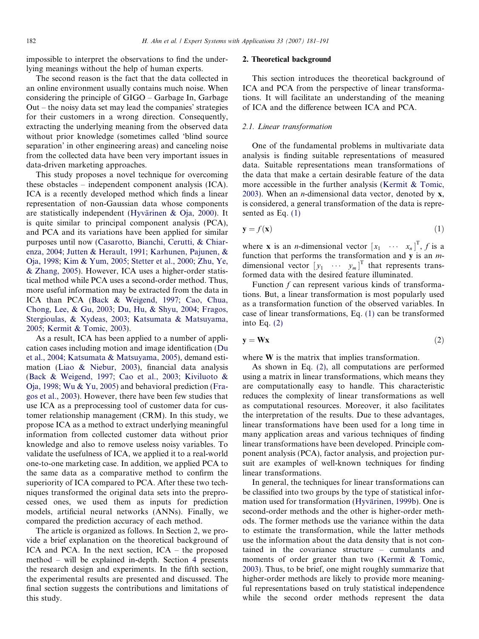impossible to interpret the observations to find the underlying meanings without the help of human experts.

The second reason is the fact that the data collected in an online environment usually contains much noise. When considering the principle of GIGO – Garbage In, Garbage Out – the noisy data set may lead the companies' strategies for their customers in a wrong direction. Consequently, extracting the underlying meaning from the observed data without prior knowledge (sometimes called 'blind source separation' in other engineering areas) and canceling noise from the collected data have been very important issues in data-driven marketing approaches.

This study proposes a novel technique for overcoming these obstacles – independent component analysis (ICA). ICA is a recently developed method which finds a linear representation of non-Gaussian data whose components are statistically independent (Hyvärinen & Oja, 2000). It is quite similar to principal component analysis (PCA), and PCA and its variations have been applied for similar purposes until now ([Casarotto, Bianchi, Cerutti, & Chiar](#page--1-0)[enza, 2004; Jutten & Herault, 1991; Karhunen, Pajunen, &](#page--1-0) [Oja, 1998; Kim & Yum, 2005; Stetter et al., 2000; Zhu, Ye,](#page--1-0) [& Zhang, 2005](#page--1-0)). However, ICA uses a higher-order statistical method while PCA uses a second-order method. Thus, more useful information may be extracted from the data in ICA than PCA ([Back & Weigend, 1997; Cao, Chua,](#page--1-0) [Chong, Lee, & Gu, 2003; Du, Hu, & Shyu, 2004; Fragos,](#page--1-0) [Stergioulas, & Xydeas, 2003; Katsumata & Matsuyama,](#page--1-0) [2005; Kermit & Tomic, 2003](#page--1-0)).

As a result, ICA has been applied to a number of application cases including motion and image identification [\(Du](#page--1-0) [et al., 2004; Katsumata & Matsuyama, 2005\)](#page--1-0), demand estimation [\(Liao & Niebur, 2003\)](#page--1-0), financial data analysis [\(Back & Weigend, 1997; Cao et al., 2003; Kiviluoto &](#page--1-0) [Oja, 1998; Wu & Yu, 2005](#page--1-0)) and behavioral prediction ([Fra](#page--1-0)[gos et al., 2003\)](#page--1-0). However, there have been few studies that use ICA as a preprocessing tool of customer data for customer relationship management (CRM). In this study, we propose ICA as a method to extract underlying meaningful information from collected customer data without prior knowledge and also to remove useless noisy variables. To validate the usefulness of ICA, we applied it to a real-world one-to-one marketing case. In addition, we applied PCA to the same data as a comparative method to confirm the superiority of ICA compared to PCA. After these two techniques transformed the original data sets into the preprocessed ones, we used them as inputs for prediction models, artificial neural networks (ANNs). Finally, we compared the prediction accuracy of each method.

The article is organized as follows. In Section 2, we provide a brief explanation on the theoretical background of ICA and PCA. In the next section, ICA – the proposed method – will be explained in-depth. Section [4](#page--1-0) presents the research design and experiments. In the fifth section, the experimental results are presented and discussed. The final section suggests the contributions and limitations of this study.

#### 2. Theoretical background

This section introduces the theoretical background of ICA and PCA from the perspective of linear transformations. It will facilitate an understanding of the meaning of ICA and the difference between ICA and PCA.

#### 2.1. Linear transformation

One of the fundamental problems in multivariate data analysis is finding suitable representations of measured data. Suitable representations mean transformations of the data that make a certain desirable feature of the data more accessible in the further analysis [\(Kermit & Tomic,](#page--1-0) [2003\)](#page--1-0). When an *n*-dimensional data vector, denoted by  $x$ , is considered, a general transformation of the data is represented as Eq. (1)

$$
\mathbf{y} = f(\mathbf{x}) \tag{1}
$$

where **x** is an *n*-dimensional vector  $[x_1 \cdots x_n]^T$ , *f* is a function that performs the transformation and  $y$  is an  $m$ dimensional vector  $\begin{bmatrix} y_1 & \cdots & y_m \end{bmatrix}^T$  that represents transformed data with the desired feature illuminated.

Function  $f$  can represent various kinds of transformations. But, a linear transformation is most popularly used as a transformation function of the observed variables. In case of linear transformations, Eq. (1) can be transformed into Eq. (2)

$$
y = Wx \tag{2}
$$

where **W** is the matrix that implies transformation.

As shown in Eq. (2), all computations are performed using a matrix in linear transformations, which means they are computationally easy to handle. This characteristic reduces the complexity of linear transformations as well as computational resources. Moreover, it also facilitates the interpretation of the results. Due to these advantages, linear transformations have been used for a long time in many application areas and various techniques of finding linear transformations have been developed. Principle component analysis (PCA), factor analysis, and projection pursuit are examples of well-known techniques for finding linear transformations.

In general, the techniques for linear transformations can be classified into two groups by the type of statistical information used for transformation (Hyvärinen, 1999b). One is second-order methods and the other is higher-order methods. The former methods use the variance within the data to estimate the transformation, while the latter methods use the information about the data density that is not contained in the covariance structure – cumulants and moments of order greater than two [\(Kermit & Tomic,](#page--1-0) [2003\)](#page--1-0). Thus, to be brief, one might roughly summarize that higher-order methods are likely to provide more meaningful representations based on truly statistical independence while the second order methods represent the data